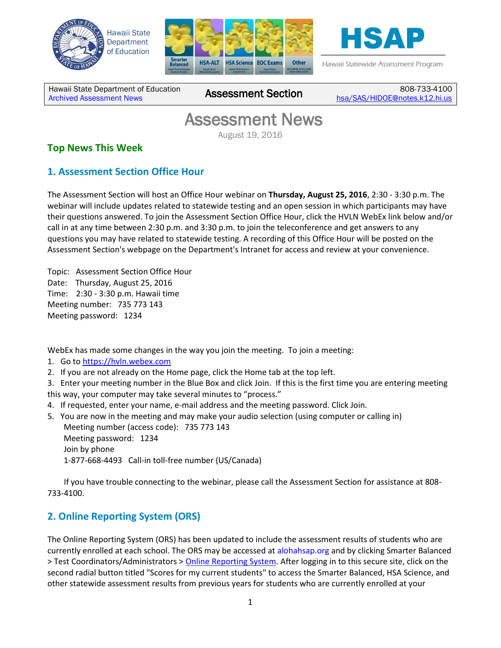





Hawaii Statewide Assessment Program

Hawaii State Department of Education **Assessment News** Assessment Section

808-733-4100 [hsa/SAS/HIDOE@notes.k12.hi.us](mailto:hsa/SAS/HIDOE@notes.k12.hi.us)

# Assessment News

August 19, 2016

#### **Top News This Week**

### **1. Assessment Section Office Hour**

The Assessment Section will host an Office Hour webinar on **Thursday, August 25, 2016**, 2:30 - 3:30 p.m. The webinar will include updates related to statewide testing and an open session in which participants may have their questions answered. To join the Assessment Section Office Hour, click the HVLN WebEx link below and/or call in at any time between 2:30 p.m. and 3:30 p.m. to join the teleconference and get answers to any questions you may have related to statewide testing. A recording of this Office Hour will be posted on the Assessment Section's webpage on the Department's Intranet for access and review at your convenience.

Topic: Assessment Section Office Hour Date: Thursday, August 25, 2016 Time: 2:30 - 3:30 p.m. Hawaii time Meeting number: 735 773 143 Meeting password: 1234

WebEx has made some changes in the way you join the meeting. To join a meeting:

1. Go to [https://hvln.webex.com](https://hvln.webex.com/)

2. If you are not already on the Home page, click the Home tab at the top left.

3. Enter your meeting number in the Blue Box and click Join. If this is the first time you are entering meeting this way, your computer may take several minutes to "process."

- 4. If requested, enter your name, e-mail address and the meeting password. Click Join.
- 5. You are now in the meeting and may make your audio selection (using computer or calling in) Meeting number (access code): 735 773 143 Meeting password: 1234 Join by phone 1-877-668-4493 Call-in toll-free number (US/Canada)

If you have trouble connecting to the webinar, please call the Assessment Section for assistance at 808- 733-4100.

### **2. Online Reporting System (ORS)**

The Online Reporting System (ORS) has been updated to include the assessment results of students who are currently enrolled at each school. The ORS may be accessed at alohahsap.org and by clicking Smarter Balanced > Test Coordinators/Administrators [> Online Reporting System.](https://hsa.reports.airast.org/Default.aspx) After logging in to this secure site, click on the second radial button titled "Scores for my current students" to access the Smarter Balanced, HSA Science, and other statewide assessment results from previous years for students who are currently enrolled at your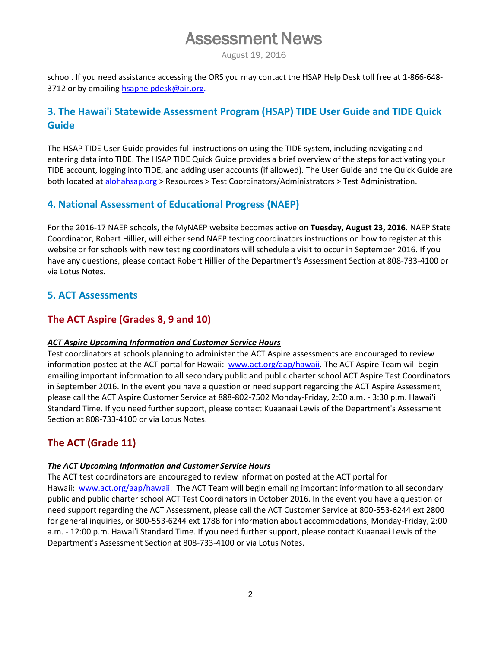# Assessment News

August 19, 2016

school. If you need assistance accessing the ORS you may contact the HSAP Help Desk toll free at 1-866-648 3712 or by emailin[g hsaphelpdesk@air.org.](mailto:hsaphelpdesk@air.org)

#### **3. The Hawai'i Statewide Assessment Program (HSAP) TIDE User Guide and TIDE Quick Guide**

The HSAP TIDE User Guide provides full instructions on using the TIDE system, including navigating and entering data into TIDE. The HSAP TIDE Quick Guide provides a brief overview of the steps for activating your TIDE account, logging into TIDE, and adding user accounts (if allowed). The User Guide and the Quick Guide are both located at alohahsap.org > Resources > Test Coordinators/Administrators > Test Administration.

#### **4. National Assessment of Educational Progress (NAEP)**

For the 2016-17 NAEP schools, the MyNAEP website becomes active on **Tuesday, August 23, 2016**. NAEP State Coordinator, Robert Hillier, will either send NAEP testing coordinators instructions on how to register at this website or for schools with new testing coordinators will schedule a visit to occur in September 2016. If you have any questions, please contact Robert Hillier of the Department's Assessment Section at 808-733-4100 or via Lotus Notes.

#### **5. ACT Assessments**

#### **The ACT Aspire (Grades 8, 9 and 10)**

#### *ACT Aspire Upcoming Information and Customer Service Hours*

Test coordinators at schools planning to administer the ACT Aspire assessments are encouraged to review information posted at the ACT portal for Hawaii: [www.act.org/aap/hawaii.](http://www.act.org/aap/hawaii) The ACT Aspire Team will begin emailing important information to all secondary public and public charter school ACT Aspire Test Coordinators in September 2016. In the event you have a question or need support regarding the ACT Aspire Assessment, please call the ACT Aspire Customer Service at 888-802-7502 Monday-Friday, 2:00 a.m. - 3:30 p.m. Hawai'i Standard Time. If you need further support, please contact Kuaanaai Lewis of the Department's Assessment Section at 808-733-4100 or via Lotus Notes.

#### **The ACT (Grade 11)**

#### *The ACT Upcoming Information and Customer Service Hours*

The ACT test coordinators are encouraged to review information posted at the ACT portal for Hawaii: [www.act.org/aap/hawaii.](www.act.org/aap/hawaii) The ACT Team will begin emailing important information to all secondary public and public charter school ACT Test Coordinators in October 2016. In the event you have a question or need support regarding the ACT Assessment, please call the ACT Customer Service at 800-553-6244 ext 2800 for general inquiries, or 800-553-6244 ext 1788 for information about accommodations, Monday-Friday, 2:00 a.m. - 12:00 p.m. Hawai'i Standard Time. If you need further support, please contact Kuaanaai Lewis of the Department's Assessment Section at 808-733-4100 or via Lotus Notes.